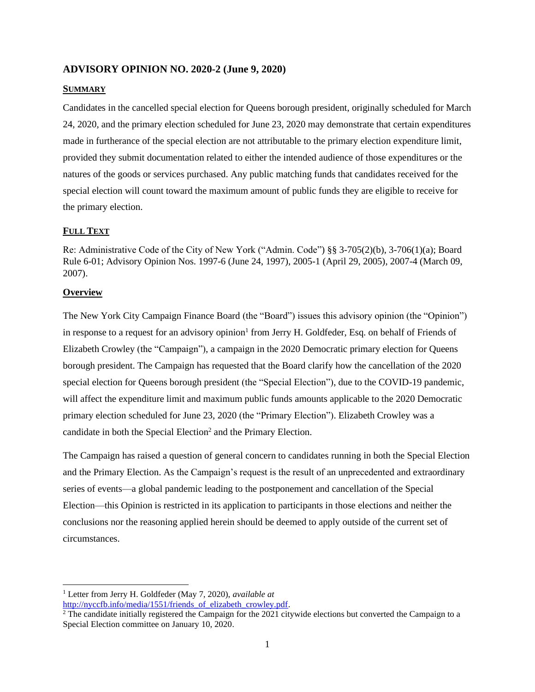## **ADVISORY OPINION NO. 2020-2 (June 9, 2020)**

#### **SUMMARY**

Candidates in the cancelled special election for Queens borough president, originally scheduled for March 24, 2020, and the primary election scheduled for June 23, 2020 may demonstrate that certain expenditures made in furtherance of the special election are not attributable to the primary election expenditure limit, provided they submit documentation related to either the intended audience of those expenditures or the natures of the goods or services purchased. Any public matching funds that candidates received for the special election will count toward the maximum amount of public funds they are eligible to receive for the primary election.

#### **FULL TEXT**

Re: Administrative Code of the City of New York ("Admin. Code") §§ 3-705(2)(b), 3-706(1)(a); Board Rule 6-01; Advisory Opinion Nos. 1997-6 (June 24, 1997), 2005-1 (April 29, 2005), 2007-4 (March 09, 2007).

#### **Overview**

The New York City Campaign Finance Board (the "Board") issues this advisory opinion (the "Opinion") in response to a request for an advisory opinion<sup>1</sup> from Jerry H. Goldfeder, Esq. on behalf of Friends of Elizabeth Crowley (the "Campaign"), a campaign in the 2020 Democratic primary election for Queens borough president. The Campaign has requested that the Board clarify how the cancellation of the 2020 special election for Queens borough president (the "Special Election"), due to the COVID-19 pandemic, will affect the expenditure limit and maximum public funds amounts applicable to the 2020 Democratic primary election scheduled for June 23, 2020 (the "Primary Election"). Elizabeth Crowley was a candidate in both the Special Election<sup>2</sup> and the Primary Election.

The Campaign has raised a question of general concern to candidates running in both the Special Election and the Primary Election. As the Campaign's request is the result of an unprecedented and extraordinary series of events—a global pandemic leading to the postponement and cancellation of the Special Election—this Opinion is restricted in its application to participants in those elections and neither the conclusions nor the reasoning applied herein should be deemed to apply outside of the current set of circumstances.

<sup>1</sup> Letter from Jerry H. Goldfeder (May 7, 2020), *available at*

[http://nyccfb.info/media/1551/friends\\_of\\_elizabeth\\_crowley.pdf.](http://nyccfb.info/media/1551/friends_of_elizabeth_crowley.pdf)

 $2$  The candidate initially registered the Campaign for the 2021 citywide elections but converted the Campaign to a Special Election committee on January 10, 2020.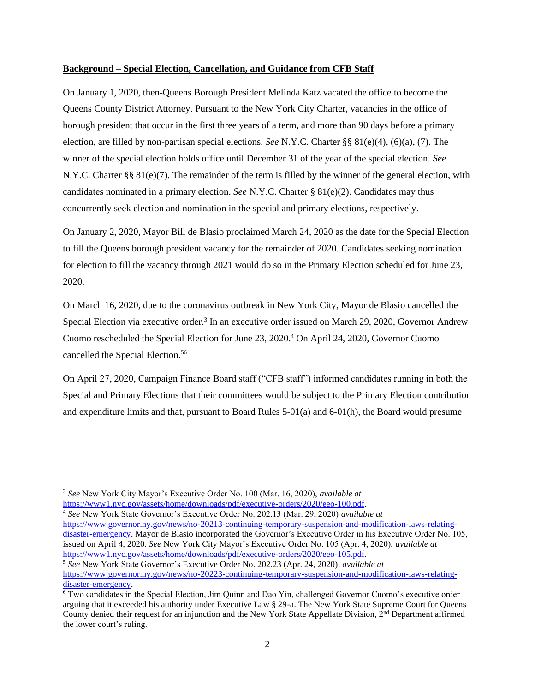#### **Background – Special Election, Cancellation, and Guidance from CFB Staff**

On January 1, 2020, then-Queens Borough President Melinda Katz vacated the office to become the Queens County District Attorney. Pursuant to the New York City Charter, vacancies in the office of borough president that occur in the first three years of a term, and more than 90 days before a primary election, are filled by non-partisan special elections. *See* N.Y.C. Charter §§ 81(e)(4), (6)(a), (7). The winner of the special election holds office until December 31 of the year of the special election. *See*  N.Y.C. Charter §§ 81(e)(7). The remainder of the term is filled by the winner of the general election, with candidates nominated in a primary election. *See* N.Y.C. Charter § 81(e)(2). Candidates may thus concurrently seek election and nomination in the special and primary elections, respectively.

On January 2, 2020, Mayor Bill de Blasio proclaimed March 24, 2020 as the date for the Special Election to fill the Queens borough president vacancy for the remainder of 2020. Candidates seeking nomination for election to fill the vacancy through 2021 would do so in the Primary Election scheduled for June 23, 2020.

On March 16, 2020, due to the coronavirus outbreak in New York City, Mayor de Blasio cancelled the Special Election via executive order.<sup>3</sup> In an executive order issued on March 29, 2020, Governor Andrew Cuomo rescheduled the Special Election for June 23, 2020. <sup>4</sup> On April 24, 2020, Governor Cuomo cancelled the Special Election.<sup>56</sup>

On April 27, 2020, Campaign Finance Board staff ("CFB staff") informed candidates running in both the Special and Primary Elections that their committees would be subject to the Primary Election contribution and expenditure limits and that, pursuant to Board Rules 5-01(a) and 6-01(h), the Board would presume

<sup>4</sup> *See* New York State Governor's Executive Order No. 202.13 (Mar. 29, 2020) *available at* [https://www.governor.ny.gov/news/no-20213-continuing-temporary-suspension-and-modification-laws-relating](https://www.governor.ny.gov/news/no-20213-continuing-temporary-suspension-and-modification-laws-relating-disaster-emergency)[disaster-emergency.](https://www.governor.ny.gov/news/no-20213-continuing-temporary-suspension-and-modification-laws-relating-disaster-emergency) Mayor de Blasio incorporated the Governor's Executive Order in his Executive Order No. 105,

issued on April 4, 2020. *See* New York City Mayor's Executive Order No. 105 (Apr. 4, 2020), *available at* [https://www1.nyc.gov/assets/home/downloads/pdf/executive-orders/2020/eeo-105.pdf.](https://www1.nyc.gov/assets/home/downloads/pdf/executive-orders/2020/eeo-105.pdf)

<sup>5</sup> *See* New York State Governor's Executive Order No. 202.23 (Apr. 24, 2020), *available at* [https://www.governor.ny.gov/news/no-20223-continuing-temporary-suspension-and-modification-laws-relating](https://www.governor.ny.gov/news/no-20223-continuing-temporary-suspension-and-modification-laws-relating-disaster-emergency)[disaster-emergency.](https://www.governor.ny.gov/news/no-20223-continuing-temporary-suspension-and-modification-laws-relating-disaster-emergency)

<sup>3</sup> *See* New York City Mayor's Executive Order No. 100 (Mar. 16, 2020), *available at* [https://www1.nyc.gov/assets/home/downloads/pdf/executive-orders/2020/eeo-100.pdf.](https://www1.nyc.gov/assets/home/downloads/pdf/executive-orders/2020/eeo-100.pdf)

<sup>6</sup> Two candidates in the Special Election, Jim Quinn and Dao Yin, challenged Governor Cuomo's executive order arguing that it exceeded his authority under Executive Law § 29-a. The New York State Supreme Court for Queens County denied their request for an injunction and the New York State Appellate Division,  $2<sup>nd</sup>$  Department affirmed the lower court's ruling.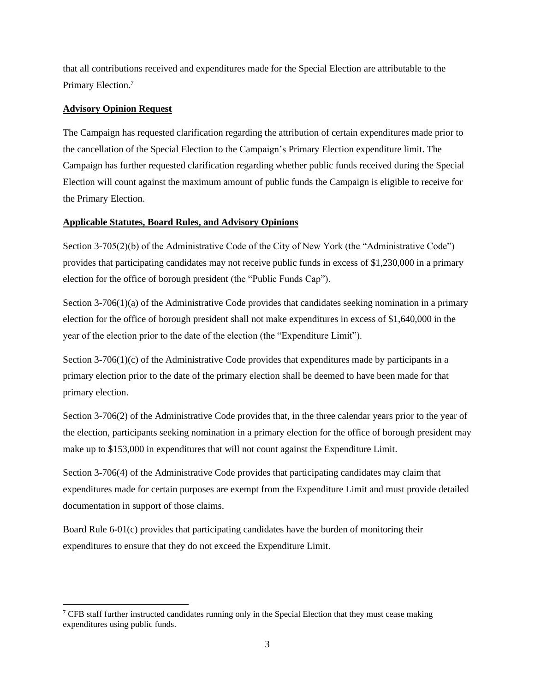that all contributions received and expenditures made for the Special Election are attributable to the Primary Election.<sup>7</sup>

## **Advisory Opinion Request**

The Campaign has requested clarification regarding the attribution of certain expenditures made prior to the cancellation of the Special Election to the Campaign's Primary Election expenditure limit. The Campaign has further requested clarification regarding whether public funds received during the Special Election will count against the maximum amount of public funds the Campaign is eligible to receive for the Primary Election.

## **Applicable Statutes, Board Rules, and Advisory Opinions**

Section 3-705(2)(b) of the Administrative Code of the City of New York (the "Administrative Code") provides that participating candidates may not receive public funds in excess of \$1,230,000 in a primary election for the office of borough president (the "Public Funds Cap").

Section 3-706(1)(a) of the Administrative Code provides that candidates seeking nomination in a primary election for the office of borough president shall not make expenditures in excess of \$1,640,000 in the year of the election prior to the date of the election (the "Expenditure Limit").

Section  $3-706(1)(c)$  of the Administrative Code provides that expenditures made by participants in a primary election prior to the date of the primary election shall be deemed to have been made for that primary election.

Section 3-706(2) of the Administrative Code provides that, in the three calendar years prior to the year of the election, participants seeking nomination in a primary election for the office of borough president may make up to \$153,000 in expenditures that will not count against the Expenditure Limit.

Section 3-706(4) of the Administrative Code provides that participating candidates may claim that expenditures made for certain purposes are exempt from the Expenditure Limit and must provide detailed documentation in support of those claims.

Board Rule 6-01(c) provides that participating candidates have the burden of monitoring their expenditures to ensure that they do not exceed the Expenditure Limit.

 $7$  CFB staff further instructed candidates running only in the Special Election that they must cease making expenditures using public funds.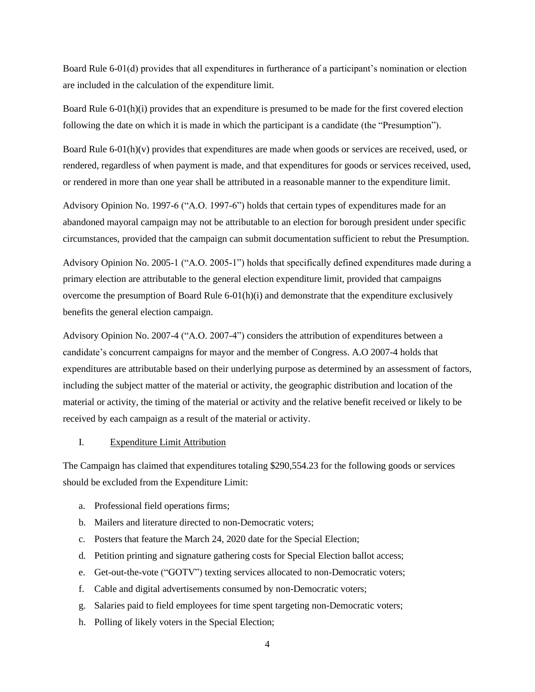Board Rule 6-01(d) provides that all expenditures in furtherance of a participant's nomination or election are included in the calculation of the expenditure limit.

Board Rule 6-01(h)(i) provides that an expenditure is presumed to be made for the first covered election following the date on which it is made in which the participant is a candidate (the "Presumption").

Board Rule 6-01(h)(v) provides that expenditures are made when goods or services are received, used, or rendered, regardless of when payment is made, and that expenditures for goods or services received, used, or rendered in more than one year shall be attributed in a reasonable manner to the expenditure limit.

Advisory Opinion No. 1997-6 ("A.O. 1997-6") holds that certain types of expenditures made for an abandoned mayoral campaign may not be attributable to an election for borough president under specific circumstances, provided that the campaign can submit documentation sufficient to rebut the Presumption.

Advisory Opinion No. 2005-1 ("A.O. 2005-1") holds that specifically defined expenditures made during a primary election are attributable to the general election expenditure limit, provided that campaigns overcome the presumption of Board Rule  $6-01(h)(i)$  and demonstrate that the expenditure exclusively benefits the general election campaign.

Advisory Opinion No. 2007-4 ("A.O. 2007-4") considers the attribution of expenditures between a candidate's concurrent campaigns for mayor and the member of Congress. A.O 2007-4 holds that expenditures are attributable based on their underlying purpose as determined by an assessment of factors, including the subject matter of the material or activity, the geographic distribution and location of the material or activity, the timing of the material or activity and the relative benefit received or likely to be received by each campaign as a result of the material or activity.

## I. Expenditure Limit Attribution

The Campaign has claimed that expenditures totaling \$290,554.23 for the following goods or services should be excluded from the Expenditure Limit:

- a. Professional field operations firms;
- b. Mailers and literature directed to non-Democratic voters;
- c. Posters that feature the March 24, 2020 date for the Special Election;
- d. Petition printing and signature gathering costs for Special Election ballot access;
- e. Get-out-the-vote ("GOTV") texting services allocated to non-Democratic voters;
- f. Cable and digital advertisements consumed by non-Democratic voters;
- g. Salaries paid to field employees for time spent targeting non-Democratic voters;
- h. Polling of likely voters in the Special Election;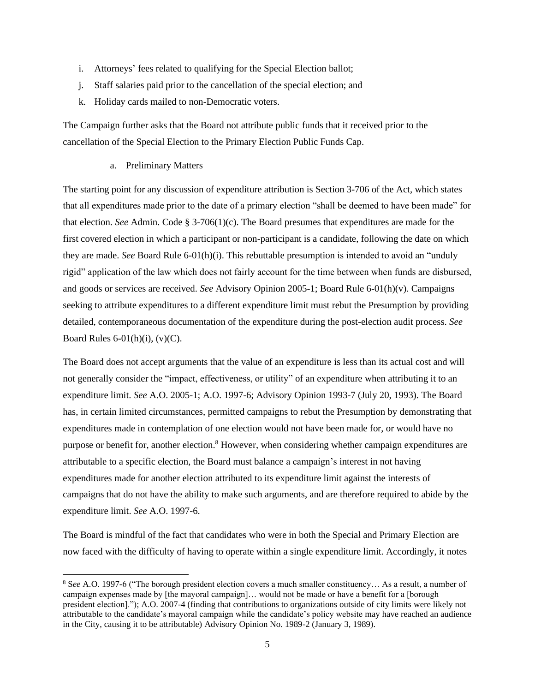- i. Attorneys' fees related to qualifying for the Special Election ballot;
- j. Staff salaries paid prior to the cancellation of the special election; and
- k. Holiday cards mailed to non-Democratic voters.

The Campaign further asks that the Board not attribute public funds that it received prior to the cancellation of the Special Election to the Primary Election Public Funds Cap.

#### a. Preliminary Matters

The starting point for any discussion of expenditure attribution is Section 3-706 of the Act, which states that all expenditures made prior to the date of a primary election "shall be deemed to have been made" for that election. *See* Admin. Code § 3-706(1)(c). The Board presumes that expenditures are made for the first covered election in which a participant or non-participant is a candidate, following the date on which they are made. *See* Board Rule 6-01(h)(i). This rebuttable presumption is intended to avoid an "unduly rigid" application of the law which does not fairly account for the time between when funds are disbursed, and goods or services are received. *See* Advisory Opinion 2005-1; Board Rule 6-01(h)(v). Campaigns seeking to attribute expenditures to a different expenditure limit must rebut the Presumption by providing detailed, contemporaneous documentation of the expenditure during the post-election audit process. *See*  Board Rules  $6-01(h)(i)$ ,  $(v)(C)$ .

The Board does not accept arguments that the value of an expenditure is less than its actual cost and will not generally consider the "impact, effectiveness, or utility" of an expenditure when attributing it to an expenditure limit. *See* A.O. 2005-1; A.O. 1997-6; Advisory Opinion 1993-7 (July 20, 1993). The Board has, in certain limited circumstances, permitted campaigns to rebut the Presumption by demonstrating that expenditures made in contemplation of one election would not have been made for, or would have no purpose or benefit for, another election.<sup>8</sup> However, when considering whether campaign expenditures are attributable to a specific election, the Board must balance a campaign's interest in not having expenditures made for another election attributed to its expenditure limit against the interests of campaigns that do not have the ability to make such arguments, and are therefore required to abide by the expenditure limit. *See* A.O. 1997-6.

The Board is mindful of the fact that candidates who were in both the Special and Primary Election are now faced with the difficulty of having to operate within a single expenditure limit. Accordingly, it notes

<sup>8</sup> S*ee* A.O. 1997-6 ("The borough president election covers a much smaller constituency… As a result, a number of campaign expenses made by [the mayoral campaign]… would not be made or have a benefit for a [borough president election]."); A.O. 2007-4 (finding that contributions to organizations outside of city limits were likely not attributable to the candidate's mayoral campaign while the candidate's policy website may have reached an audience in the City, causing it to be attributable) Advisory Opinion No. 1989-2 (January 3, 1989).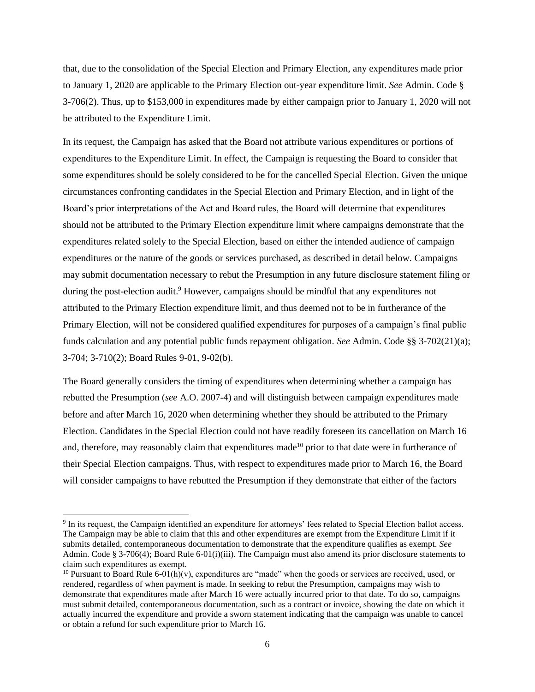that, due to the consolidation of the Special Election and Primary Election, any expenditures made prior to January 1, 2020 are applicable to the Primary Election out-year expenditure limit. *See* Admin. Code § 3-706(2). Thus, up to \$153,000 in expenditures made by either campaign prior to January 1, 2020 will not be attributed to the Expenditure Limit.

In its request, the Campaign has asked that the Board not attribute various expenditures or portions of expenditures to the Expenditure Limit. In effect, the Campaign is requesting the Board to consider that some expenditures should be solely considered to be for the cancelled Special Election. Given the unique circumstances confronting candidates in the Special Election and Primary Election, and in light of the Board's prior interpretations of the Act and Board rules, the Board will determine that expenditures should not be attributed to the Primary Election expenditure limit where campaigns demonstrate that the expenditures related solely to the Special Election, based on either the intended audience of campaign expenditures or the nature of the goods or services purchased, as described in detail below. Campaigns may submit documentation necessary to rebut the Presumption in any future disclosure statement filing or during the post-election audit.<sup>9</sup> However, campaigns should be mindful that any expenditures not attributed to the Primary Election expenditure limit, and thus deemed not to be in furtherance of the Primary Election, will not be considered qualified expenditures for purposes of a campaign's final public funds calculation and any potential public funds repayment obligation. *See* Admin. Code §§ 3-702(21)(a); 3-704; 3-710(2); Board Rules 9-01, 9-02(b).

The Board generally considers the timing of expenditures when determining whether a campaign has rebutted the Presumption (*see* A.O. 2007-4) and will distinguish between campaign expenditures made before and after March 16, 2020 when determining whether they should be attributed to the Primary Election. Candidates in the Special Election could not have readily foreseen its cancellation on March 16 and, therefore, may reasonably claim that expenditures made<sup>10</sup> prior to that date were in furtherance of their Special Election campaigns. Thus, with respect to expenditures made prior to March 16, the Board will consider campaigns to have rebutted the Presumption if they demonstrate that either of the factors

<sup>&</sup>lt;sup>9</sup> In its request, the Campaign identified an expenditure for attorneys' fees related to Special Election ballot access. The Campaign may be able to claim that this and other expenditures are exempt from the Expenditure Limit if it submits detailed, contemporaneous documentation to demonstrate that the expenditure qualifies as exempt. *See*  Admin. Code § 3-706(4); Board Rule 6-01(i)(iii). The Campaign must also amend its prior disclosure statements to claim such expenditures as exempt.

<sup>&</sup>lt;sup>10</sup> Pursuant to Board Rule 6-01(h)(v), expenditures are "made" when the goods or services are received, used, or rendered, regardless of when payment is made. In seeking to rebut the Presumption, campaigns may wish to demonstrate that expenditures made after March 16 were actually incurred prior to that date. To do so, campaigns must submit detailed, contemporaneous documentation, such as a contract or invoice, showing the date on which it actually incurred the expenditure and provide a sworn statement indicating that the campaign was unable to cancel or obtain a refund for such expenditure prior to March 16.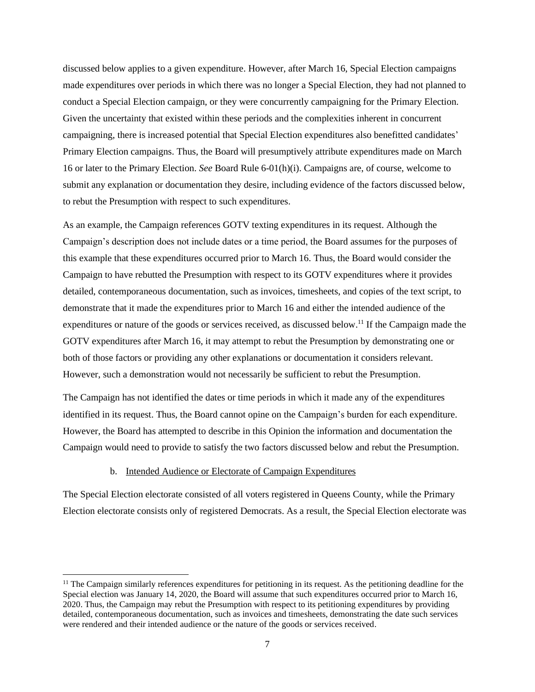discussed below applies to a given expenditure. However, after March 16, Special Election campaigns made expenditures over periods in which there was no longer a Special Election, they had not planned to conduct a Special Election campaign, or they were concurrently campaigning for the Primary Election. Given the uncertainty that existed within these periods and the complexities inherent in concurrent campaigning, there is increased potential that Special Election expenditures also benefitted candidates' Primary Election campaigns. Thus, the Board will presumptively attribute expenditures made on March 16 or later to the Primary Election. *See* Board Rule 6-01(h)(i). Campaigns are, of course, welcome to submit any explanation or documentation they desire, including evidence of the factors discussed below, to rebut the Presumption with respect to such expenditures.

As an example, the Campaign references GOTV texting expenditures in its request. Although the Campaign's description does not include dates or a time period, the Board assumes for the purposes of this example that these expenditures occurred prior to March 16. Thus, the Board would consider the Campaign to have rebutted the Presumption with respect to its GOTV expenditures where it provides detailed, contemporaneous documentation, such as invoices, timesheets, and copies of the text script, to demonstrate that it made the expenditures prior to March 16 and either the intended audience of the expenditures or nature of the goods or services received, as discussed below.<sup>11</sup> If the Campaign made the GOTV expenditures after March 16, it may attempt to rebut the Presumption by demonstrating one or both of those factors or providing any other explanations or documentation it considers relevant. However, such a demonstration would not necessarily be sufficient to rebut the Presumption.

The Campaign has not identified the dates or time periods in which it made any of the expenditures identified in its request. Thus, the Board cannot opine on the Campaign's burden for each expenditure. However, the Board has attempted to describe in this Opinion the information and documentation the Campaign would need to provide to satisfy the two factors discussed below and rebut the Presumption.

## b. Intended Audience or Electorate of Campaign Expenditures

The Special Election electorate consisted of all voters registered in Queens County, while the Primary Election electorate consists only of registered Democrats. As a result, the Special Election electorate was

 $<sup>11</sup>$  The Campaign similarly references expenditures for petitioning in its request. As the petitioning deadline for the</sup> Special election was January 14, 2020, the Board will assume that such expenditures occurred prior to March 16, 2020. Thus, the Campaign may rebut the Presumption with respect to its petitioning expenditures by providing detailed, contemporaneous documentation, such as invoices and timesheets, demonstrating the date such services were rendered and their intended audience or the nature of the goods or services received.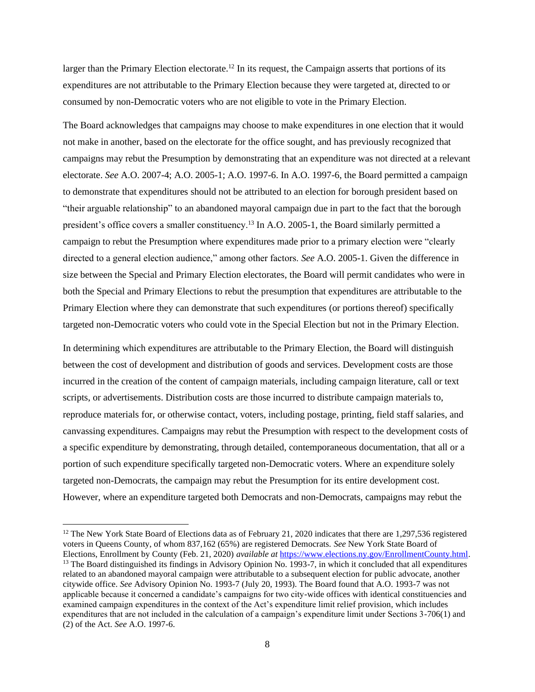larger than the Primary Election electorate.<sup>12</sup> In its request, the Campaign asserts that portions of its expenditures are not attributable to the Primary Election because they were targeted at, directed to or consumed by non-Democratic voters who are not eligible to vote in the Primary Election.

The Board acknowledges that campaigns may choose to make expenditures in one election that it would not make in another, based on the electorate for the office sought, and has previously recognized that campaigns may rebut the Presumption by demonstrating that an expenditure was not directed at a relevant electorate. *See* A.O. 2007-4; A.O. 2005-1; A.O. 1997-6. In A.O. 1997-6, the Board permitted a campaign to demonstrate that expenditures should not be attributed to an election for borough president based on "their arguable relationship" to an abandoned mayoral campaign due in part to the fact that the borough president's office covers a smaller constituency.<sup>13</sup> In A.O. 2005-1, the Board similarly permitted a campaign to rebut the Presumption where expenditures made prior to a primary election were "clearly directed to a general election audience," among other factors. *See* A.O. 2005-1. Given the difference in size between the Special and Primary Election electorates, the Board will permit candidates who were in both the Special and Primary Elections to rebut the presumption that expenditures are attributable to the Primary Election where they can demonstrate that such expenditures (or portions thereof) specifically targeted non-Democratic voters who could vote in the Special Election but not in the Primary Election.

In determining which expenditures are attributable to the Primary Election, the Board will distinguish between the cost of development and distribution of goods and services. Development costs are those incurred in the creation of the content of campaign materials, including campaign literature, call or text scripts, or advertisements. Distribution costs are those incurred to distribute campaign materials to, reproduce materials for, or otherwise contact, voters, including postage, printing, field staff salaries, and canvassing expenditures. Campaigns may rebut the Presumption with respect to the development costs of a specific expenditure by demonstrating, through detailed, contemporaneous documentation, that all or a portion of such expenditure specifically targeted non-Democratic voters. Where an expenditure solely targeted non-Democrats, the campaign may rebut the Presumption for its entire development cost. However, where an expenditure targeted both Democrats and non-Democrats, campaigns may rebut the

<sup>&</sup>lt;sup>12</sup> The New York State Board of Elections data as of February 21, 2020 indicates that there are 1,297,536 registered voters in Queens County, of whom 837,162 (65%) are registered Democrats. *See* New York State Board of Elections, Enrollment by County (Feb. 21, 2020) *available at* [https://www.elections.ny.gov/EnrollmentCounty.html.](about:blank) <sup>13</sup> The Board distinguished its findings in Advisory Opinion No. 1993-7, in which it concluded that all expenditures related to an abandoned mayoral campaign were attributable to a subsequent election for public advocate, another citywide office. *See* Advisory Opinion No. 1993-7 (July 20, 1993). The Board found that A.O. 1993-7 was not applicable because it concerned a candidate's campaigns for two city-wide offices with identical constituencies and examined campaign expenditures in the context of the Act's expenditure limit relief provision, which includes expenditures that are not included in the calculation of a campaign's expenditure limit under Sections 3-706(1) and (2) of the Act. *See* A.O. 1997-6.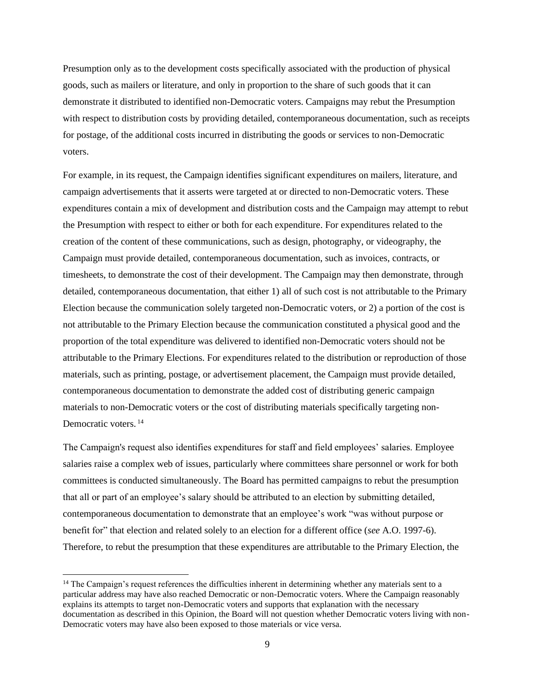Presumption only as to the development costs specifically associated with the production of physical goods, such as mailers or literature, and only in proportion to the share of such goods that it can demonstrate it distributed to identified non-Democratic voters. Campaigns may rebut the Presumption with respect to distribution costs by providing detailed, contemporaneous documentation, such as receipts for postage, of the additional costs incurred in distributing the goods or services to non-Democratic voters.

For example, in its request, the Campaign identifies significant expenditures on mailers, literature, and campaign advertisements that it asserts were targeted at or directed to non-Democratic voters. These expenditures contain a mix of development and distribution costs and the Campaign may attempt to rebut the Presumption with respect to either or both for each expenditure. For expenditures related to the creation of the content of these communications, such as design, photography, or videography, the Campaign must provide detailed, contemporaneous documentation, such as invoices, contracts, or timesheets, to demonstrate the cost of their development. The Campaign may then demonstrate, through detailed, contemporaneous documentation, that either 1) all of such cost is not attributable to the Primary Election because the communication solely targeted non-Democratic voters, or 2) a portion of the cost is not attributable to the Primary Election because the communication constituted a physical good and the proportion of the total expenditure was delivered to identified non-Democratic voters should not be attributable to the Primary Elections. For expenditures related to the distribution or reproduction of those materials, such as printing, postage, or advertisement placement, the Campaign must provide detailed, contemporaneous documentation to demonstrate the added cost of distributing generic campaign materials to non-Democratic voters or the cost of distributing materials specifically targeting non-Democratic voters.<sup>14</sup>

The Campaign's request also identifies expenditures for staff and field employees' salaries. Employee salaries raise a complex web of issues, particularly where committees share personnel or work for both committees is conducted simultaneously. The Board has permitted campaigns to rebut the presumption that all or part of an employee's salary should be attributed to an election by submitting detailed, contemporaneous documentation to demonstrate that an employee's work "was without purpose or benefit for" that election and related solely to an election for a different office (*see* A.O. 1997-6). Therefore, to rebut the presumption that these expenditures are attributable to the Primary Election, the

<sup>&</sup>lt;sup>14</sup> The Campaign's request references the difficulties inherent in determining whether any materials sent to a particular address may have also reached Democratic or non-Democratic voters. Where the Campaign reasonably explains its attempts to target non-Democratic voters and supports that explanation with the necessary documentation as described in this Opinion, the Board will not question whether Democratic voters living with non-Democratic voters may have also been exposed to those materials or vice versa.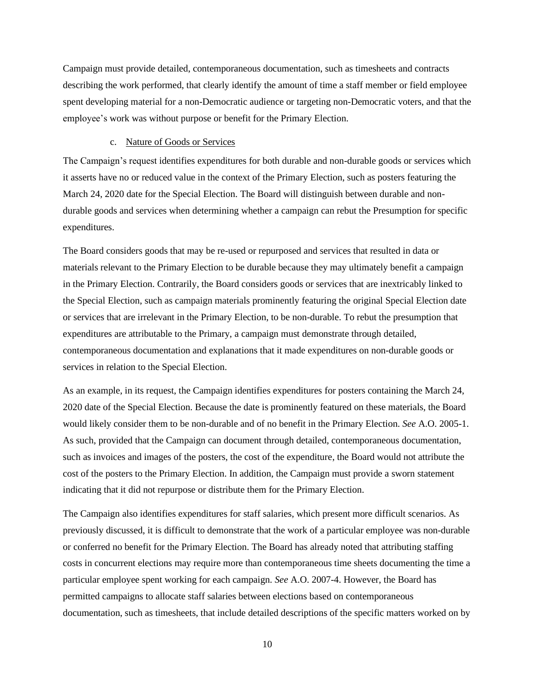Campaign must provide detailed, contemporaneous documentation, such as timesheets and contracts describing the work performed, that clearly identify the amount of time a staff member or field employee spent developing material for a non-Democratic audience or targeting non-Democratic voters, and that the employee's work was without purpose or benefit for the Primary Election.

#### c. Nature of Goods or Services

The Campaign's request identifies expenditures for both durable and non-durable goods or services which it asserts have no or reduced value in the context of the Primary Election, such as posters featuring the March 24, 2020 date for the Special Election. The Board will distinguish between durable and nondurable goods and services when determining whether a campaign can rebut the Presumption for specific expenditures.

The Board considers goods that may be re-used or repurposed and services that resulted in data or materials relevant to the Primary Election to be durable because they may ultimately benefit a campaign in the Primary Election. Contrarily, the Board considers goods or services that are inextricably linked to the Special Election, such as campaign materials prominently featuring the original Special Election date or services that are irrelevant in the Primary Election, to be non-durable. To rebut the presumption that expenditures are attributable to the Primary, a campaign must demonstrate through detailed, contemporaneous documentation and explanations that it made expenditures on non-durable goods or services in relation to the Special Election.

As an example, in its request, the Campaign identifies expenditures for posters containing the March 24, 2020 date of the Special Election. Because the date is prominently featured on these materials, the Board would likely consider them to be non-durable and of no benefit in the Primary Election. *See* A.O. 2005-1. As such, provided that the Campaign can document through detailed, contemporaneous documentation, such as invoices and images of the posters, the cost of the expenditure, the Board would not attribute the cost of the posters to the Primary Election. In addition, the Campaign must provide a sworn statement indicating that it did not repurpose or distribute them for the Primary Election.

The Campaign also identifies expenditures for staff salaries, which present more difficult scenarios. As previously discussed, it is difficult to demonstrate that the work of a particular employee was non-durable or conferred no benefit for the Primary Election. The Board has already noted that attributing staffing costs in concurrent elections may require more than contemporaneous time sheets documenting the time a particular employee spent working for each campaign. *See* A.O. 2007-4. However, the Board has permitted campaigns to allocate staff salaries between elections based on contemporaneous documentation, such as timesheets, that include detailed descriptions of the specific matters worked on by

10